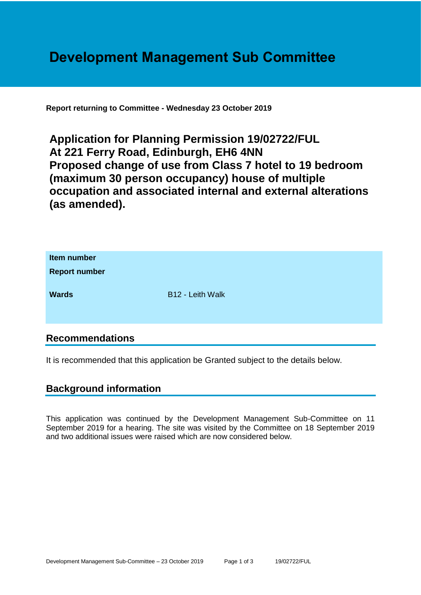# **Development Management Sub Committee**

**Report returning to Committee - Wednesday 23 October 2019**

**Application for Planning Permission 19/02722/FUL At 221 Ferry Road, Edinburgh, EH6 4NN Proposed change of use from Class 7 hotel to 19 bedroom (maximum 30 person occupancy) house of multiple occupation and associated internal and external alterations (as amended).**

| Item number<br><b>Report number</b> |                  |
|-------------------------------------|------------------|
| <b>Wards</b>                        | B12 - Leith Walk |

## **Recommendations**

It is recommended that this application be Granted subject to the details below.

#### **Background information**

This application was continued by the Development Management Sub-Committee on 11 September 2019 for a hearing. The site was visited by the Committee on 18 September 2019 and two additional issues were raised which are now considered below.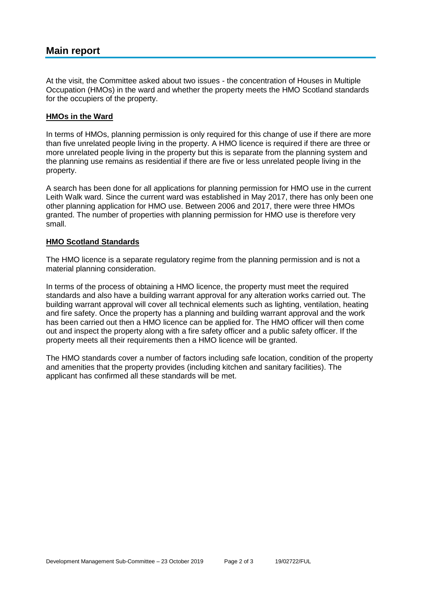## **Main report**

At the visit, the Committee asked about two issues - the concentration of Houses in Multiple Occupation (HMOs) in the ward and whether the property meets the HMO Scotland standards for the occupiers of the property.

#### **HMOs in the Ward**

In terms of HMOs, planning permission is only required for this change of use if there are more than five unrelated people living in the property. A HMO licence is required if there are three or more unrelated people living in the property but this is separate from the planning system and the planning use remains as residential if there are five or less unrelated people living in the property.

A search has been done for all applications for planning permission for HMO use in the current Leith Walk ward. Since the current ward was established in May 2017, there has only been one other planning application for HMO use. Between 2006 and 2017, there were three HMOs granted. The number of properties with planning permission for HMO use is therefore very small.

#### **HMO Scotland Standards**

The HMO licence is a separate regulatory regime from the planning permission and is not a material planning consideration.

In terms of the process of obtaining a HMO licence, the property must meet the required standards and also have a building warrant approval for any alteration works carried out. The building warrant approval will cover all technical elements such as lighting, ventilation, heating and fire safety. Once the property has a planning and building warrant approval and the work has been carried out then a HMO licence can be applied for. The HMO officer will then come out and inspect the property along with a fire safety officer and a public safety officer. If the property meets all their requirements then a HMO licence will be granted.

The HMO standards cover a number of factors including safe location, condition of the property and amenities that the property provides (including kitchen and sanitary facilities). The applicant has confirmed all these standards will be met.